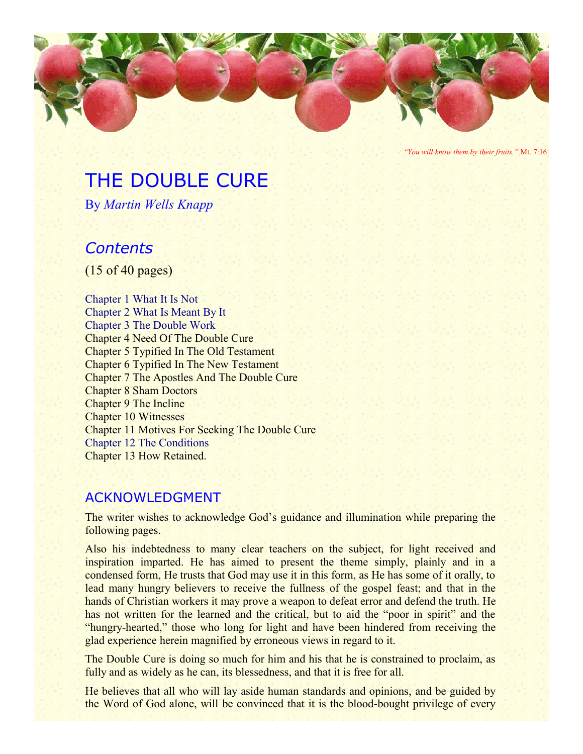

*"You will know them by their fruits."* Mt. 7:16

# THE DOUBLE CURE

By *Martin Wells Knapp*

# *Contents*

(15 of 40 pages)

Chapter 1 What It Is Not Chapter 2 What Is Meant By It Chapter 3 The Double Work Chapter 4 Need Of The Double Cure Chapter 5 Typified In The Old Testament Chapter 6 Typified In The New Testament Chapter 7 The Apostles And The Double Cure Chapter 8 Sham Doctors Chapter 9 The Incline Chapter 10 Witnesses Chapter 11 Motives For Seeking The Double Cure Chapter 12 The Conditions Chapter 13 How Retained.

# ACKNOWLEDGMENT

The writer wishes to acknowledge God's guidance and illumination while preparing the following pages.

Also his indebtedness to many clear teachers on the subject, for light received and inspiration imparted. He has aimed to present the theme simply, plainly and in a condensed form, He trusts that God may use it in this form, as He has some of it orally, to lead many hungry believers to receive the fullness of the gospel feast; and that in the hands of Christian workers it may prove a weapon to defeat error and defend the truth. He has not written for the learned and the critical, but to aid the "poor in spirit" and the "hungry-hearted," those who long for light and have been hindered from receiving the glad experience herein magnified by erroneous views in regard to it.

The Double Cure is doing so much for him and his that he is constrained to proclaim, as fully and as widely as he can, its blessedness, and that it is free for all.

He believes that all who will lay aside human standards and opinions, and be guided by the Word of God alone, will be convinced that it is the blood-bought privilege of every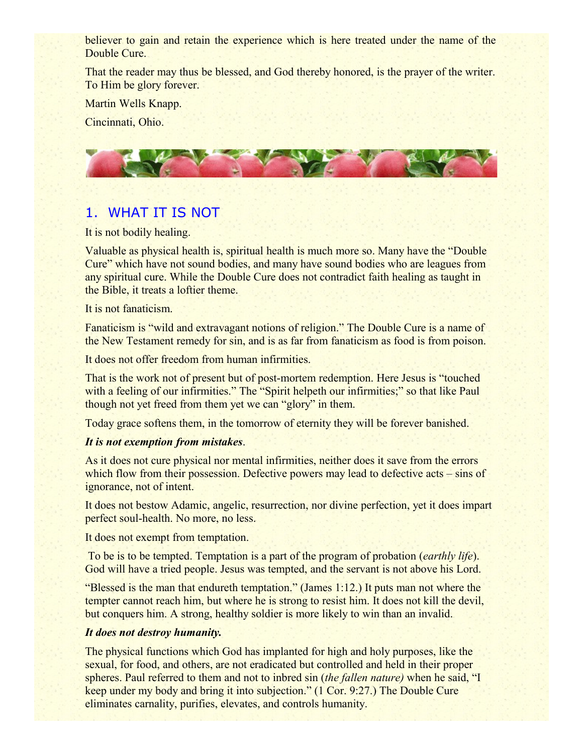believer to gain and retain the experience which is here treated under the name of the Double Cure.

That the reader may thus be blessed, and God thereby honored, is the prayer of the writer. To Him be glory forever.

Martin Wells Knapp.

Cincinnati, Ohio.



# 1. WHAT IT IS NOT

It is not bodily healing.

Valuable as physical health is, spiritual health is much more so. Many have the "Double Cure" which have not sound bodies, and many have sound bodies who are leagues from any spiritual cure. While the Double Cure does not contradict faith healing as taught in the Bible, it treats a loftier theme.

It is not fanaticism.

Fanaticism is "wild and extravagant notions of religion." The Double Cure is a name of the New Testament remedy for sin, and is as far from fanaticism as food is from poison.

It does not offer freedom from human infirmities.

That is the work not of present but of post-mortem redemption. Here Jesus is "touched with a feeling of our infirmities." The "Spirit helpeth our infirmities;" so that like Paul though not yet freed from them yet we can "glory" in them.

Today grace softens them, in the tomorrow of eternity they will be forever banished.

#### *It is not exemption from mistakes*.

As it does not cure physical nor mental infirmities, neither does it save from the errors which flow from their possession. Defective powers may lead to defective acts – sins of ignorance, not of intent.

It does not bestow Adamic, angelic, resurrection, nor divine perfection, yet it does impart perfect soul-health. No more, no less.

It does not exempt from temptation.

 To be is to be tempted. Temptation is a part of the program of probation (*earthly life*). God will have a tried people. Jesus was tempted, and the servant is not above his Lord.

"Blessed is the man that endureth temptation." (James 1:12.) It puts man not where the tempter cannot reach him, but where he is strong to resist him. It does not kill the devil, but conquers him. A strong, healthy soldier is more likely to win than an invalid.

#### *It does not destroy humanity.*

The physical functions which God has implanted for high and holy purposes, like the sexual, for food, and others, are not eradicated but controlled and held in their proper spheres. Paul referred to them and not to inbred sin (*the fallen nature)* when he said, "I keep under my body and bring it into subjection." (1 Cor. 9:27.) The Double Cure eliminates carnality, purifies, elevates, and controls humanity.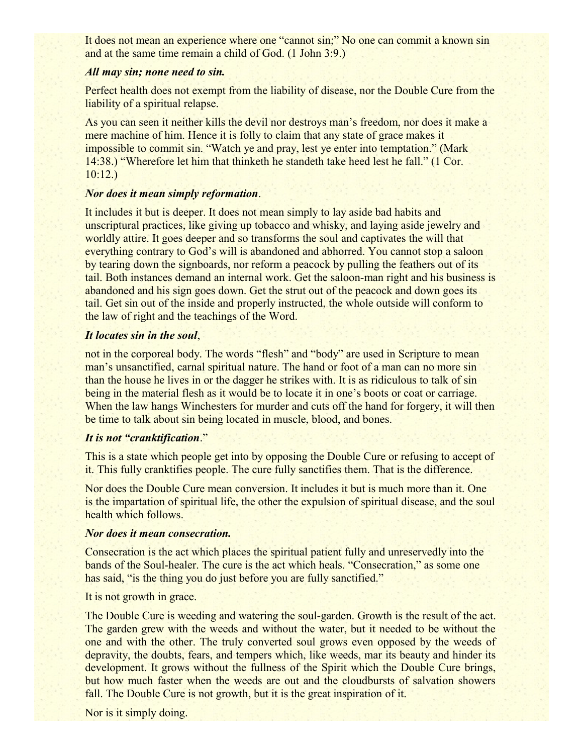It does not mean an experience where one "cannot sin;" No one can commit a known sin and at the same time remain a child of God. (1 John 3:9.)

#### *All may sin; none need to sin.*

Perfect health does not exempt from the liability of disease, nor the Double Cure from the liability of a spiritual relapse.

As you can seen it neither kills the devil nor destroys man's freedom, nor does it make a mere machine of him. Hence it is folly to claim that any state of grace makes it impossible to commit sin. "Watch ye and pray, lest ye enter into temptation." (Mark 14:38.) "Wherefore let him that thinketh he standeth take heed lest he fall." (1 Cor. 10:12.)

#### *Nor does it mean simply reformation*.

It includes it but is deeper. It does not mean simply to lay aside bad habits and unscriptural practices, like giving up tobacco and whisky, and laying aside jewelry and worldly attire. It goes deeper and so transforms the soul and captivates the will that everything contrary to God's will is abandoned and abhorred. You cannot stop a saloon by tearing down the signboards, nor reform a peacock by pulling the feathers out of its tail. Both instances demand an internal work. Get the saloon-man right and his business is abandoned and his sign goes down. Get the strut out of the peacock and down goes its tail. Get sin out of the inside and properly instructed, the whole outside will conform to the law of right and the teachings of the Word.

#### *It locates sin in the soul*,

not in the corporeal body. The words "flesh" and "body" are used in Scripture to mean man's unsanctified, carnal spiritual nature. The hand or foot of a man can no more sin than the house he lives in or the dagger he strikes with. It is as ridiculous to talk of sin being in the material flesh as it would be to locate it in one's boots or coat or carriage. When the law hangs Winchesters for murder and cuts off the hand for forgery, it will then be time to talk about sin being located in muscle, blood, and bones.

#### *It is not "cranktification*."

This is a state which people get into by opposing the Double Cure or refusing to accept of it. This fully cranktifies people. The cure fully sanctifies them. That is the difference.

Nor does the Double Cure mean conversion. It includes it but is much more than it. One is the impartation of spiritual life, the other the expulsion of spiritual disease, and the soul health which follows.

#### *Nor does it mean consecration.*

Consecration is the act which places the spiritual patient fully and unreservedly into the bands of the Soul-healer. The cure is the act which heals. "Consecration," as some one has said, "is the thing you do just before you are fully sanctified."

It is not growth in grace.

The Double Cure is weeding and watering the soul-garden. Growth is the result of the act. The garden grew with the weeds and without the water, but it needed to be without the one and with the other. The truly converted soul grows even opposed by the weeds of depravity, the doubts, fears, and tempers which, like weeds, mar its beauty and hinder its development. It grows without the fullness of the Spirit which the Double Cure brings, but how much faster when the weeds are out and the cloudbursts of salvation showers fall. The Double Cure is not growth, but it is the great inspiration of it.

Nor is it simply doing.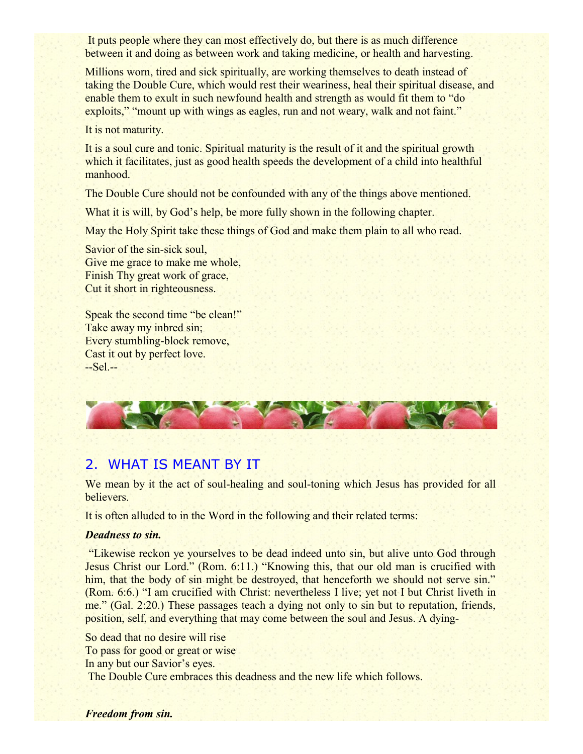It puts people where they can most effectively do, but there is as much difference between it and doing as between work and taking medicine, or health and harvesting.

Millions worn, tired and sick spiritually, are working themselves to death instead of taking the Double Cure, which would rest their weariness, heal their spiritual disease, and enable them to exult in such newfound health and strength as would fit them to "do exploits," "mount up with wings as eagles, run and not weary, walk and not faint."

It is not maturity.

It is a soul cure and tonic. Spiritual maturity is the result of it and the spiritual growth which it facilitates, just as good health speeds the development of a child into healthful manhood.

The Double Cure should not be confounded with any of the things above mentioned.

What it is will, by God's help, be more fully shown in the following chapter.

May the Holy Spirit take these things of God and make them plain to all who read.

Savior of the sin-sick soul, Give me grace to make me whole, Finish Thy great work of grace, Cut it short in righteousness.

Speak the second time "be clean!" Take away my inbred sin; Every stumbling-block remove, Cast it out by perfect love. --Sel.--



# 2. WHAT IS MEANT BY IT

We mean by it the act of soul-healing and soul-toning which Jesus has provided for all believers.

It is often alluded to in the Word in the following and their related terms:

#### *Deadness to sin.*

 "Likewise reckon ye yourselves to be dead indeed unto sin, but alive unto God through Jesus Christ our Lord." (Rom. 6:11.) "Knowing this, that our old man is crucified with him, that the body of sin might be destroyed, that henceforth we should not serve sin." (Rom. 6:6.) "I am crucified with Christ: nevertheless I live; yet not I but Christ liveth in me." (Gal. 2:20.) These passages teach a dying not only to sin but to reputation, friends, position, self, and everything that may come between the soul and Jesus. A dying-

So dead that no desire will rise To pass for good or great or wise In any but our Savior's eyes. The Double Cure embraces this deadness and the new life which follows.

*Freedom from sin.*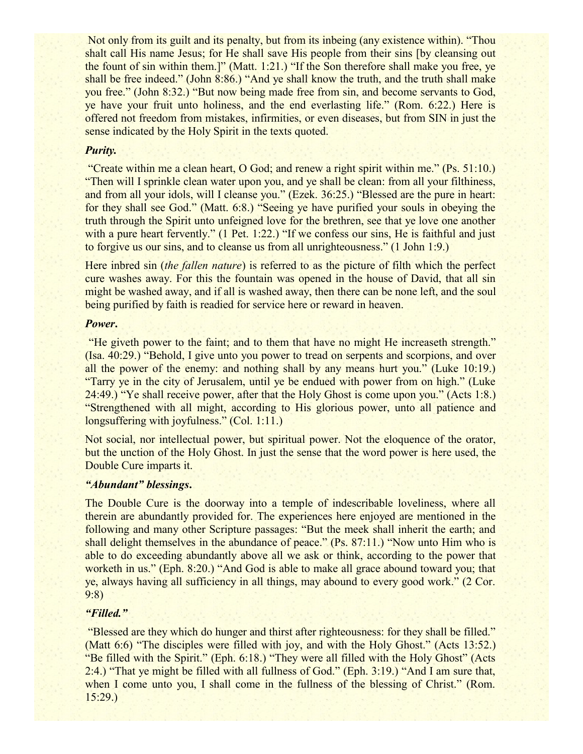Not only from its guilt and its penalty, but from its inbeing (any existence within). "Thou shalt call His name Jesus; for He shall save His people from their sins [by cleansing out the fount of sin within them.]" (Matt. 1:21.) "If the Son therefore shall make you free, ye shall be free indeed." (John 8:86.) "And ye shall know the truth, and the truth shall make you free." (John 8:32.) "But now being made free from sin, and become servants to God, ye have your fruit unto holiness, and the end everlasting life." (Rom. 6:22.) Here is offered not freedom from mistakes, infirmities, or even diseases, but from SIN in just the sense indicated by the Holy Spirit in the texts quoted.

#### *Purity.*

 "Create within me a clean heart, O God; and renew a right spirit within me." (Ps. 51:10.) "Then will I sprinkle clean water upon you, and ye shall be clean: from all your filthiness, and from all your idols, will I cleanse you." (Ezek. 36:25.) "Blessed are the pure in heart: for they shall see God." (Matt. 6:8.) "Seeing ye have purified your souls in obeying the truth through the Spirit unto unfeigned love for the brethren, see that ye love one another with a pure heart fervently." (1 Pet. 1:22.) "If we confess our sins, He is faithful and just to forgive us our sins, and to cleanse us from all unrighteousness." (1 John 1:9.)

Here inbred sin (*the fallen nature*) is referred to as the picture of filth which the perfect cure washes away. For this the fountain was opened in the house of David, that all sin might be washed away, and if all is washed away, then there can be none left, and the soul being purified by faith is readied for service here or reward in heaven.

#### *Power***.**

"He giveth power to the faint; and to them that have no might He increaseth strength." (Isa. 40:29.) "Behold, I give unto you power to tread on serpents and scorpions, and over all the power of the enemy: and nothing shall by any means hurt you." (Luke 10:19.) "Tarry ye in the city of Jerusalem, until ye be endued with power from on high." (Luke 24:49.) "Ye shall receive power, after that the Holy Ghost is come upon you." (Acts 1:8.) "Strengthened with all might, according to His glorious power, unto all patience and longsuffering with joyfulness." (Col. 1:11.)

Not social, nor intellectual power, but spiritual power. Not the eloquence of the orator, but the unction of the Holy Ghost. In just the sense that the word power is here used, the Double Cure imparts it.

#### *"Abundant" blessings***.**

The Double Cure is the doorway into a temple of indescribable loveliness, where all therein are abundantly provided for. The experiences here enjoyed are mentioned in the following and many other Scripture passages: "But the meek shall inherit the earth; and shall delight themselves in the abundance of peace." (Ps. 87:11.) "Now unto Him who is able to do exceeding abundantly above all we ask or think, according to the power that worketh in us." (Eph. 8:20.) "And God is able to make all grace abound toward you; that ye, always having all sufficiency in all things, may abound to every good work." (2 Cor. 9:8)

#### *"Filled."*

"Blessed are they which do hunger and thirst after righteousness: for they shall be filled." (Matt 6:6) "The disciples were filled with joy, and with the Holy Ghost." (Acts 13:52.) "Be filled with the Spirit." (Eph. 6:18.) "They were all filled with the Holy Ghost" (Acts 2:4.) "That ye might be filled with all fullness of God." (Eph. 3:19.) "And I am sure that, when I come unto you, I shall come in the fullness of the blessing of Christ." (Rom. 15:29.)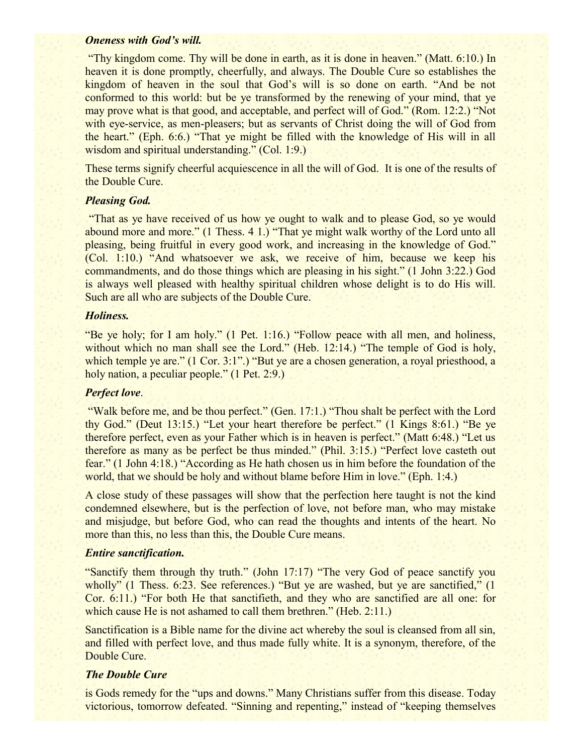#### *Oneness with God's will.*

 "Thy kingdom come. Thy will be done in earth, as it is done in heaven." (Matt. 6:10.) In heaven it is done promptly, cheerfully, and always. The Double Cure so establishes the kingdom of heaven in the soul that God's will is so done on earth. "And be not conformed to this world: but be ye transformed by the renewing of your mind, that ye may prove what is that good, and acceptable, and perfect will of God." (Rom. 12:2.) "Not with eye-service, as men-pleasers; but as servants of Christ doing the will of God from the heart." (Eph. 6:6.) "That ye might be filled with the knowledge of His will in all wisdom and spiritual understanding." (Col. 1:9.)

These terms signify cheerful acquiescence in all the will of God. It is one of the results of the Double Cure.

## *Pleasing God.*

 "That as ye have received of us how ye ought to walk and to please God, so ye would abound more and more." (1 Thess. 4 1.) "That ye might walk worthy of the Lord unto all pleasing, being fruitful in every good work, and increasing in the knowledge of God." (Col. 1:10.) "And whatsoever we ask, we receive of him, because we keep his commandments, and do those things which are pleasing in his sight." (1 John 3:22.) God is always well pleased with healthy spiritual children whose delight is to do His will. Such are all who are subjects of the Double Cure.

#### *Holiness.*

"Be ye holy; for I am holy." (1 Pet. 1:16.) "Follow peace with all men, and holiness, without which no man shall see the Lord." (Heb. 12:14.) "The temple of God is holy, which temple ye are." (1 Cor. 3:1".) "But ye are a chosen generation, a royal priesthood, a holy nation, a peculiar people." (1 Pet. 2:9.)

# *Perfect love*.

"Walk before me, and be thou perfect." (Gen. 17:1.) "Thou shalt be perfect with the Lord thy God." (Deut 13:15.) "Let your heart therefore be perfect." (1 Kings 8:61.) "Be ye therefore perfect, even as your Father which is in heaven is perfect." (Matt 6:48.) "Let us therefore as many as be perfect be thus minded." (Phil. 3:15.) "Perfect love casteth out fear." (1 John 4:18.) "According as He hath chosen us in him before the foundation of the world, that we should be holy and without blame before Him in love." (Eph. 1:4.)

A close study of these passages will show that the perfection here taught is not the kind condemned elsewhere, but is the perfection of love, not before man, who may mistake and misjudge, but before God, who can read the thoughts and intents of the heart. No more than this, no less than this, the Double Cure means.

#### *Entire sanctification.*

"Sanctify them through thy truth." (John 17:17) "The very God of peace sanctify you wholly" (1 Thess. 6:23. See references.) "But ye are washed, but ye are sanctified," (1 Cor. 6:11.) "For both He that sanctifieth, and they who are sanctified are all one: for which cause He is not ashamed to call them brethren." (Heb. 2:11.)

Sanctification is a Bible name for the divine act whereby the soul is cleansed from all sin, and filled with perfect love, and thus made fully white. It is a synonym, therefore, of the Double Cure.

# *The Double Cure*

is Gods remedy for the "ups and downs." Many Christians suffer from this disease. Today victorious, tomorrow defeated. "Sinning and repenting," instead of "keeping themselves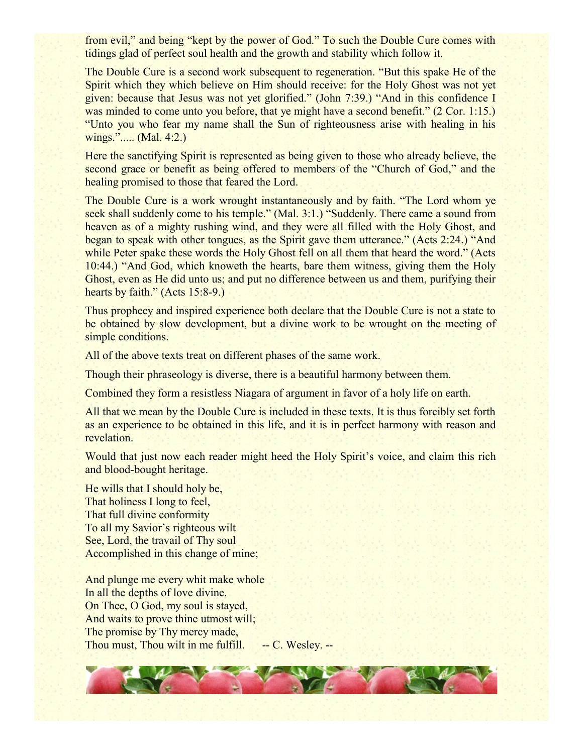from evil," and being "kept by the power of God." To such the Double Cure comes with tidings glad of perfect soul health and the growth and stability which follow it.

The Double Cure is a second work subsequent to regeneration. "But this spake He of the Spirit which they which believe on Him should receive: for the Holy Ghost was not yet given: because that Jesus was not yet glorified." (John 7:39.) "And in this confidence I was minded to come unto you before, that ye might have a second benefit." (2 Cor. 1:15.) "Unto you who fear my name shall the Sun of righteousness arise with healing in his wings."..... (Mal. 4:2.)

Here the sanctifying Spirit is represented as being given to those who already believe, the second grace or benefit as being offered to members of the "Church of God," and the healing promised to those that feared the Lord.

The Double Cure is a work wrought instantaneously and by faith. "The Lord whom ye seek shall suddenly come to his temple." (Mal. 3:1.) "Suddenly. There came a sound from heaven as of a mighty rushing wind, and they were all filled with the Holy Ghost, and began to speak with other tongues, as the Spirit gave them utterance." (Acts 2:24.) "And while Peter spake these words the Holy Ghost fell on all them that heard the word." (Acts 10:44.) "And God, which knoweth the hearts, bare them witness, giving them the Holy Ghost, even as He did unto us; and put no difference between us and them, purifying their hearts by faith." (Acts 15:8-9.)

Thus prophecy and inspired experience both declare that the Double Cure is not a state to be obtained by slow development, but a divine work to be wrought on the meeting of simple conditions.

All of the above texts treat on different phases of the same work.

Though their phraseology is diverse, there is a beautiful harmony between them.

Combined they form a resistless Niagara of argument in favor of a holy life on earth.

All that we mean by the Double Cure is included in these texts. It is thus forcibly set forth as an experience to be obtained in this life, and it is in perfect harmony with reason and revelation.

Would that just now each reader might heed the Holy Spirit's voice, and claim this rich and blood-bought heritage.

He wills that I should holy be, That holiness I long to feel, That full divine conformity To all my Savior's righteous wilt See, Lord, the travail of Thy soul Accomplished in this change of mine;

And plunge me every whit make whole In all the depths of love divine. On Thee, O God, my soul is stayed, And waits to prove thine utmost will; The promise by Thy mercy made, Thou must, Thou wilt in me fulfill. -- C. Wesley. --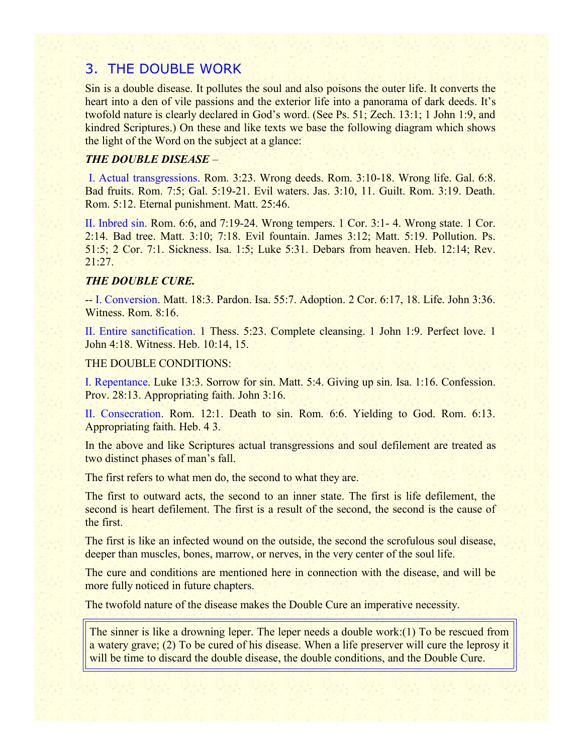# 3. THE DOUBLE WORK

Sin is a double disease. It pollutes the soul and also poisons the outer life. It converts the heart into a den of vile passions and the exterior life into a panorama of dark deeds. It's twofold nature is clearly declared in God's word. (See Ps. 51; Zech. 13:1; 1 John 1:9, and kindred Scriptures.) On these and like texts we base the following diagram which shows the light of the Word on the subject at a glance:

## *THE DOUBLE DISEASE* –

 I. Actual transgressions. Rom. 3:23. Wrong deeds. Rom. 3:10-18. Wrong life. Gal. 6:8. Bad fruits. Rom. 7:5; Gal. 5:19-21. Evil waters. Jas. 3:10, 11. Guilt. Rom. 3:19. Death. Rom. 5:12. Eternal punishment. Matt. 25:46.

II. Inbred sin. Rom. 6:6, and 7:19-24. Wrong tempers. 1 Cor. 3:1- 4. Wrong state. 1 Cor. 2:14. Bad tree. Matt. 3:10; 7:18. Evil fountain. James 3:12; Matt. 5:19. Pollution. Ps. 51:5; 2 Cor. 7:1. Sickness. Isa. 1:5; Luke 5:31. Debars from heaven. Heb. 12:14; Rev. 21:27.

#### *THE DOUBLE CURE.*

-- I. Conversion. Matt. 18:3. Pardon. Isa. 55:7. Adoption. 2 Cor. 6:17, 18. Life. John 3:36. Witness. Rom. 8:16.

II. Entire sanctification. 1 Thess. 5:23. Complete cleansing. 1 John 1:9. Perfect love. 1 John 4:18. Witness. Heb. 10:14, 15.

#### THE DOUBLE CONDITIONS:

I. Repentance. Luke 13:3. Sorrow for sin. Matt. 5:4. Giving up sin. Isa. 1:16. Confession. Prov. 28:13. Appropriating faith. John 3:16.

II. Consecration. Rom. 12:1. Death to sin. Rom. 6:6. Yielding to God. Rom. 6:13. Appropriating faith. Heb. 4 3.

In the above and like Scriptures actual transgressions and soul defilement are treated as two distinct phases of man's fall.

The first refers to what men do, the second to what they are.

The first to outward acts, the second to an inner state. The first is life defilement, the second is heart defilement. The first is a result of the second, the second is the cause of the first.

The first is like an infected wound on the outside, the second the scrofulous soul disease, deeper than muscles, bones, marrow, or nerves, in the very center of the soul life.

The cure and conditions are mentioned here in connection with the disease, and will be more fully noticed in future chapters.

The twofold nature of the disease makes the Double Cure an imperative necessity.

The sinner is like a drowning leper. The leper needs a double work: (1) To be rescued from a watery grave; (2) To be cured of his disease. When a life preserver will cure the leprosy it will be time to discard the double disease, the double conditions, and the Double Cure.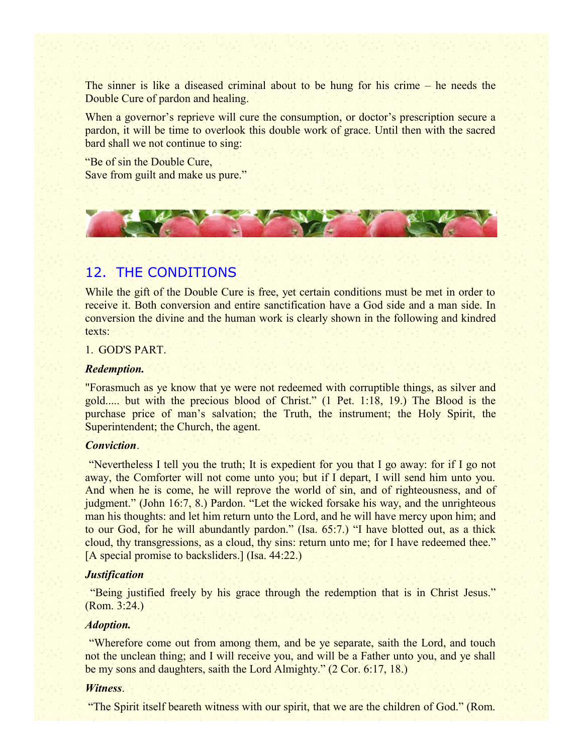The sinner is like a diseased criminal about to be hung for his crime – he needs the Double Cure of pardon and healing.

When a governor's reprieve will cure the consumption, or doctor's prescription secure a pardon, it will be time to overlook this double work of grace. Until then with the sacred bard shall we not continue to sing:

"Be of sin the Double Cure, Save from guilt and make us pure."



# 12. THE CONDITIONS

While the gift of the Double Cure is free, yet certain conditions must be met in order to receive it. Both conversion and entire sanctification have a God side and a man side. In conversion the divine and the human work is clearly shown in the following and kindred texts:

#### 1. GOD'S PART.

#### *Redemption.*

"Forasmuch as ye know that ye were not redeemed with corruptible things, as silver and gold..... but with the precious blood of Christ." (1 Pet. 1:18, 19.) The Blood is the purchase price of man's salvation; the Truth, the instrument; the Holy Spirit, the Superintendent; the Church, the agent.

#### *Conviction*.

 "Nevertheless I tell you the truth; It is expedient for you that I go away: for if I go not away, the Comforter will not come unto you; but if I depart, I will send him unto you. And when he is come, he will reprove the world of sin, and of righteousness, and of judgment." (John 16:7, 8.) Pardon. "Let the wicked forsake his way, and the unrighteous man his thoughts: and let him return unto the Lord, and he will have mercy upon him; and to our God, for he will abundantly pardon." (Isa. 65:7.) "I have blotted out, as a thick cloud, thy transgressions, as a cloud, thy sins: return unto me; for I have redeemed thee." [A special promise to backsliders.] (Isa. 44:22.)]

#### *Justification*

 "Being justified freely by his grace through the redemption that is in Christ Jesus." (Rom. 3:24.)

#### *Adoption.*

 "Wherefore come out from among them, and be ye separate, saith the Lord, and touch not the unclean thing; and I will receive you, and will be a Father unto you, and ye shall be my sons and daughters, saith the Lord Almighty." (2 Cor. 6:17, 18.)

#### *Witness*.

"The Spirit itself beareth witness with our spirit, that we are the children of God." (Rom.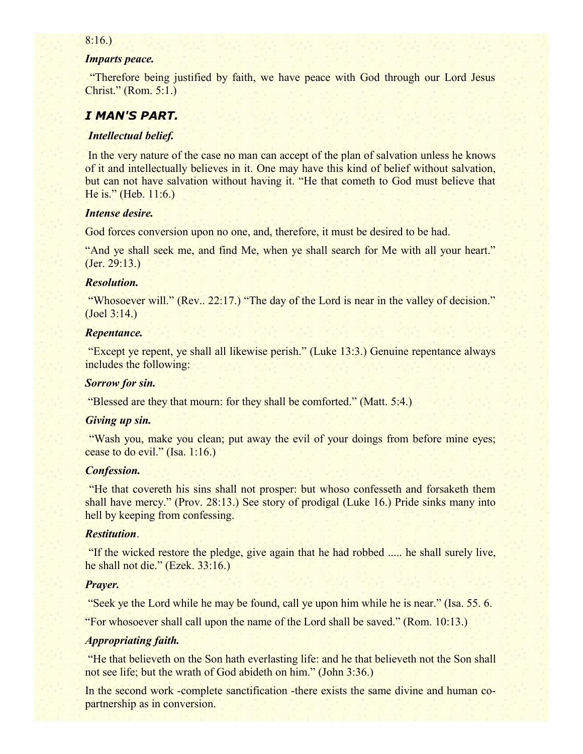#### 8:16.)

## *Imparts peace.*

 "Therefore being justified by faith, we have peace with God through our Lord Jesus Christ." (Rom. 5:1.)

# *I MAN'S PART.*

#### *Intellectual belief.*

 In the very nature of the case no man can accept of the plan of salvation unless he knows of it and intellectually believes in it. One may have this kind of belief without salvation, but can not have salvation without having it. "He that cometh to God must believe that He is." (Heb. 11:6.)

#### *Intense desire.*

God forces conversion upon no one, and, therefore, it must be desired to be had.

"And ye shall seek me, and find Me, when ye shall search for Me with all your heart." (Jer. 29:13.)

#### *Resolution.*

"Whosoever will." (Rev., 22:17.) "The day of the Lord is near in the valley of decision." (Joel 3:14.)

#### *Repentance.*

 "Except ye repent, ye shall all likewise perish." (Luke 13:3.) Genuine repentance always includes the following:

#### *Sorrow for sin.*

"Blessed are they that mourn: for they shall be comforted." (Matt. 5:4.)

#### *Giving up sin.*

 "Wash you, make you clean; put away the evil of your doings from before mine eyes; cease to do evil." (Isa. 1:16.)

#### *Confession.*

 "He that covereth his sins shall not prosper: but whoso confesseth and forsaketh them shall have mercy." (Prov. 28:13.) See story of prodigal (Luke 16.) Pride sinks many into hell by keeping from confessing.

#### *Restitution*.

 "If the wicked restore the pledge, give again that he had robbed ..... he shall surely live, he shall not die." (Ezek. 33:16.)

#### *Prayer.*

"Seek ye the Lord while he may be found, call ye upon him while he is near." (Isa. 55. 6.

"For whosoever shall call upon the name of the Lord shall be saved." (Rom. 10:13.)

#### *Appropriating faith.*

 "He that believeth on the Son hath everlasting life: and he that believeth not the Son shall not see life; but the wrath of God abideth on him." (John 3:36.)

In the second work -complete sanctification -there exists the same divine and human copartnership as in conversion.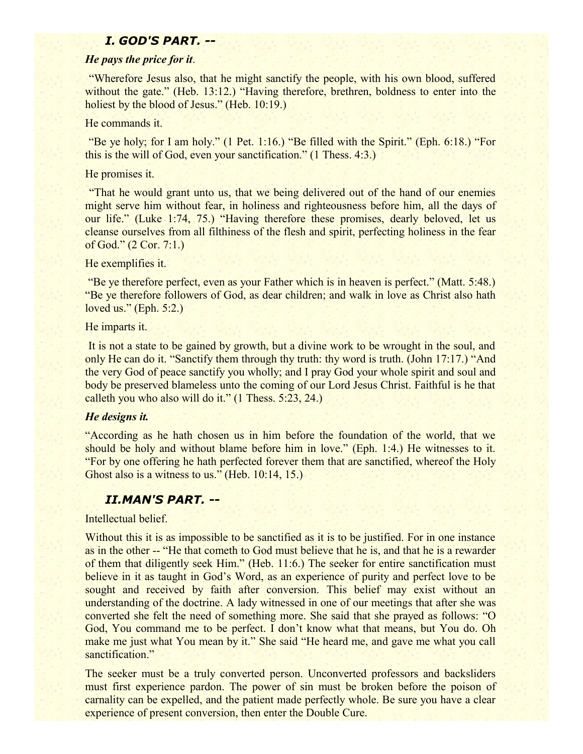#### *I. GOD'S PART. --*

#### *He pays the price for it*.

 "Wherefore Jesus also, that he might sanctify the people, with his own blood, suffered without the gate." (Heb. 13:12.) "Having therefore, brethren, boldness to enter into the holiest by the blood of Jesus." (Heb. 10:19.)

#### He commands it.

 "Be ye holy; for I am holy." (1 Pet. 1:16.) "Be filled with the Spirit." (Eph. 6:18.) "For this is the will of God, even your sanctification." (1 Thess. 4:3.)

#### He promises it.

 "That he would grant unto us, that we being delivered out of the hand of our enemies might serve him without fear, in holiness and righteousness before him, all the days of our life." (Luke 1:74, 75.) "Having therefore these promises, dearly beloved, let us cleanse ourselves from all filthiness of the flesh and spirit, perfecting holiness in the fear of God." (2 Cor. 7:1.)

#### He exemplifies it.

 "Be ye therefore perfect, even as your Father which is in heaven is perfect." (Matt. 5:48.) "Be ye therefore followers of God, as dear children; and walk in love as Christ also hath loved us." (Eph. 5:2.)

#### He imparts it.

 It is not a state to be gained by growth, but a divine work to be wrought in the soul, and only He can do it. "Sanctify them through thy truth: thy word is truth. (John 17:17.) "And the very God of peace sanctify you wholly; and I pray God your whole spirit and soul and body be preserved blameless unto the coming of our Lord Jesus Christ. Faithful is he that calleth you who also will do it." (1 Thess. 5:23, 24.)

#### *He designs it.*

"According as he hath chosen us in him before the foundation of the world, that we should be holy and without blame before him in love." (Eph. 1:4.) He witnesses to it. "For by one offering he hath perfected forever them that are sanctified, whereof the Holy Ghost also is a witness to us." (Heb. 10:14, 15.)

#### *II.MAN'S PART. --*

#### Intellectual belief.

Without this it is as impossible to be sanctified as it is to be justified. For in one instance as in the other -- "He that cometh to God must believe that he is, and that he is a rewarder of them that diligently seek Him." (Heb. 11:6.) The seeker for entire sanctification must believe in it as taught in God's Word, as an experience of purity and perfect love to be sought and received by faith after conversion. This belief may exist without an understanding of the doctrine. A lady witnessed in one of our meetings that after she was converted she felt the need of something more. She said that she prayed as follows: "O God, You command me to be perfect. I don't know what that means, but You do. Oh make me just what You mean by it." She said "He heard me, and gave me what you call sanctification."

The seeker must be a truly converted person. Unconverted professors and backsliders must first experience pardon. The power of sin must be broken before the poison of carnality can be expelled, and the patient made perfectly whole. Be sure you have a clear experience of present conversion, then enter the Double Cure.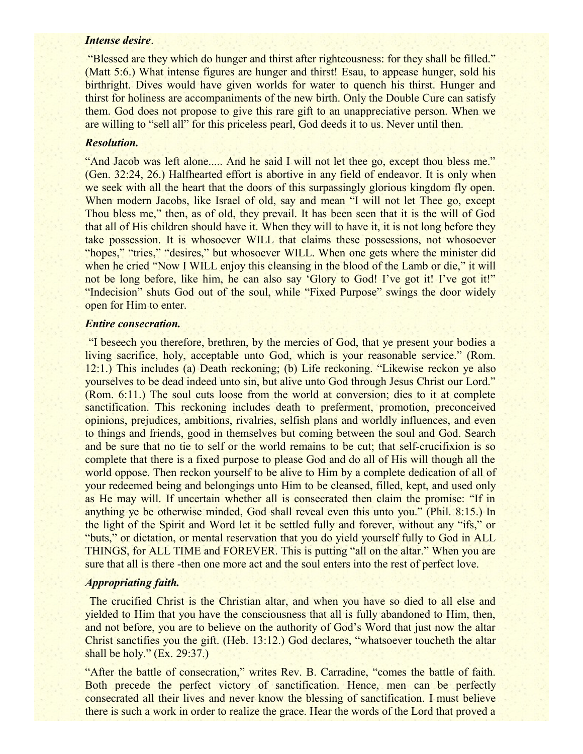#### *Intense desire*.

 "Blessed are they which do hunger and thirst after righteousness: for they shall be filled." (Matt 5:6.) What intense figures are hunger and thirst! Esau, to appease hunger, sold his birthright. Dives would have given worlds for water to quench his thirst. Hunger and thirst for holiness are accompaniments of the new birth. Only the Double Cure can satisfy them. God does not propose to give this rare gift to an unappreciative person. When we are willing to "sell all" for this priceless pearl, God deeds it to us. Never until then.

#### *Resolution.*

"And Jacob was left alone..... And he said I will not let thee go, except thou bless me." (Gen. 32:24, 26.) Halfhearted effort is abortive in any field of endeavor. It is only when we seek with all the heart that the doors of this surpassingly glorious kingdom fly open. When modern Jacobs, like Israel of old, say and mean "I will not let Thee go, except Thou bless me," then, as of old, they prevail. It has been seen that it is the will of God that all of His children should have it. When they will to have it, it is not long before they take possession. It is whosoever WILL that claims these possessions, not whosoever "hopes," "tries," "desires," but whosoever WILL. When one gets where the minister did when he cried "Now I WILL enjoy this cleansing in the blood of the Lamb or die," it will not be long before, like him, he can also say 'Glory to God! I've got it! I've got it!" "Indecision" shuts God out of the soul, while "Fixed Purpose" swings the door widely open for Him to enter.

#### *Entire consecration.*

 "I beseech you therefore, brethren, by the mercies of God, that ye present your bodies a living sacrifice, holy, acceptable unto God, which is your reasonable service." (Rom. 12:1.) This includes (a) Death reckoning; (b) Life reckoning. "Likewise reckon ye also yourselves to be dead indeed unto sin, but alive unto God through Jesus Christ our Lord." (Rom. 6:11.) The soul cuts loose from the world at conversion; dies to it at complete sanctification. This reckoning includes death to preferment, promotion, preconceived opinions, prejudices, ambitions, rivalries, selfish plans and worldly influences, and even to things and friends, good in themselves but coming between the soul and God. Search and be sure that no tie to self or the world remains to be cut; that self-crucifixion is so complete that there is a fixed purpose to please God and do all of His will though all the world oppose. Then reckon yourself to be alive to Him by a complete dedication of all of your redeemed being and belongings unto Him to be cleansed, filled, kept, and used only as He may will. If uncertain whether all is consecrated then claim the promise: "If in anything ye be otherwise minded, God shall reveal even this unto you." (Phil. 8:15.) In the light of the Spirit and Word let it be settled fully and forever, without any "ifs," or "buts," or dictation, or mental reservation that you do yield yourself fully to God in ALL THINGS, for ALL TIME and FOREVER. This is putting "all on the altar." When you are sure that all is there -then one more act and the soul enters into the rest of perfect love.

#### *Appropriating faith.*

 The crucified Christ is the Christian altar, and when you have so died to all else and yielded to Him that you have the consciousness that all is fully abandoned to Him, then, and not before, you are to believe on the authority of God's Word that just now the altar Christ sanctifies you the gift. (Heb. 13:12.) God declares, "whatsoever toucheth the altar shall be holy." (Ex. 29:37.)

"After the battle of consecration," writes Rev. B. Carradine, "comes the battle of faith. Both precede the perfect victory of sanctification. Hence, men can be perfectly consecrated all their lives and never know the blessing of sanctification. I must believe there is such a work in order to realize the grace. Hear the words of the Lord that proved a